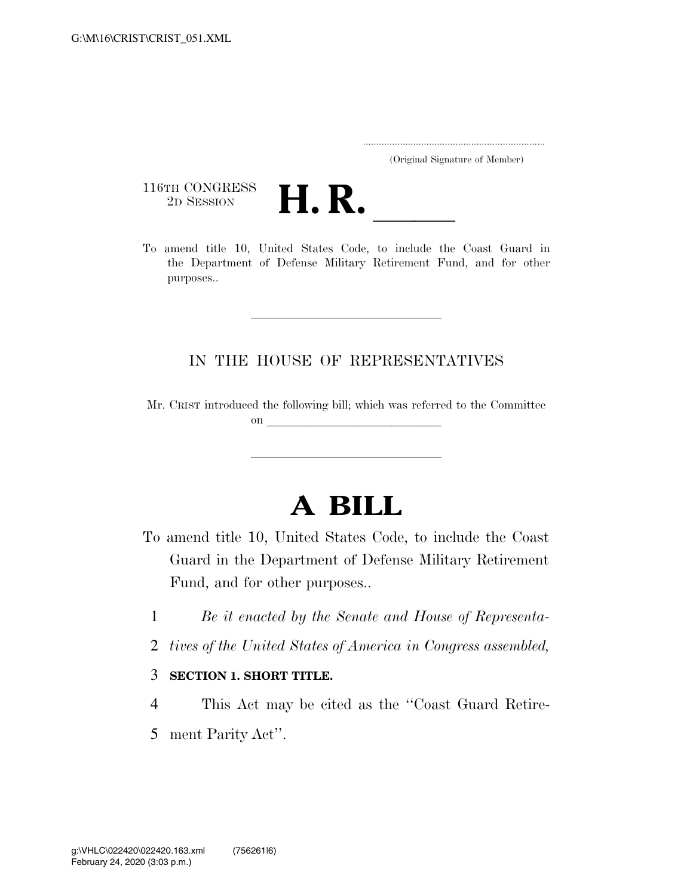..................................................................... (Original Signature of Member)

116TH CONGRESS<br>2D SESSION



116TH CONGRESS<br>
2D SESSION **H. R.** <u>Indice</u> the Coast Guard in the Department of Defense Military Retirement Fund, and for other purposes..

### IN THE HOUSE OF REPRESENTATIVES

Mr. CRIST introduced the following bill; which was referred to the Committee on  $\overline{\qquad \qquad }$ 

# **A BILL**

- To amend title 10, United States Code, to include the Coast Guard in the Department of Defense Military Retirement Fund, and for other purposes..
	- 1 *Be it enacted by the Senate and House of Representa-*
	- 2 *tives of the United States of America in Congress assembled,*

#### 3 **SECTION 1. SHORT TITLE.**

- 4 This Act may be cited as the ''Coast Guard Retire-
- 5 ment Parity Act''.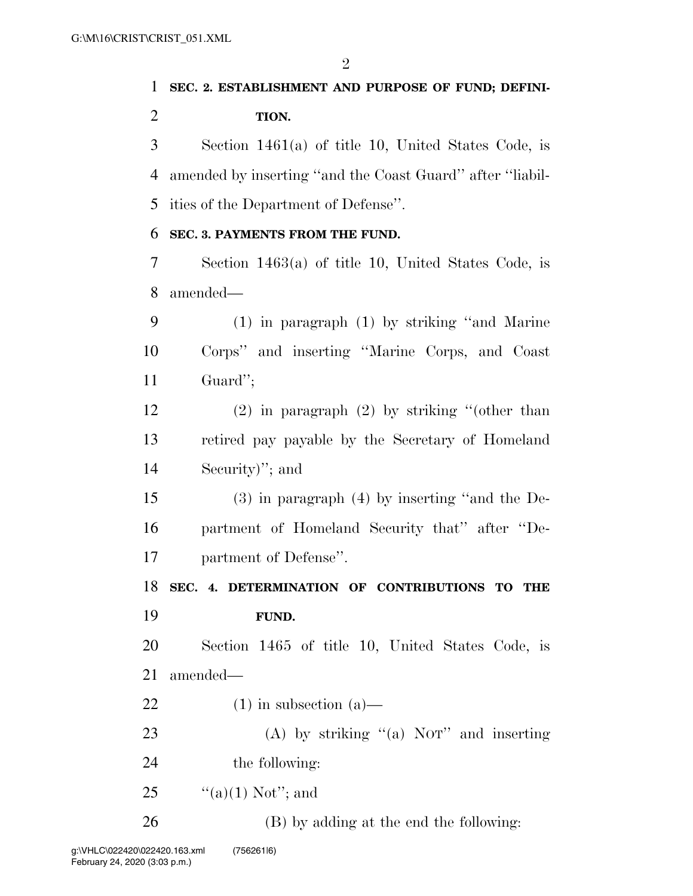## **SEC. 2. ESTABLISHMENT AND PURPOSE OF FUND; DEFINI-TION.**

 Section 1461(a) of title 10, United States Code, is amended by inserting ''and the Coast Guard'' after ''liabil-ities of the Department of Defense''.

#### **SEC. 3. PAYMENTS FROM THE FUND.**

 Section 1463(a) of title 10, United States Code, is amended—

 (1) in paragraph (1) by striking ''and Marine Corps'' and inserting ''Marine Corps, and Coast Guard'';

 (2) in paragraph (2) by striking ''(other than retired pay payable by the Secretary of Homeland Security)''; and

 (3) in paragraph (4) by inserting ''and the De- partment of Homeland Security that'' after ''De-partment of Defense''.

**SEC. 4. DETERMINATION OF CONTRIBUTIONS TO THE** 

**FUND.** 

 Section 1465 of title 10, United States Code, is amended—

- 22 (1) in subsection  $(a)$ —
- 23 (A) by striking "(a) NOT" and inserting 24 the following:
- 25  $\frac{((a)(1) \text{ Not}''; \text{and}}{((a)(1) \text{ Not}''; \text{and}})$

(B) by adding at the end the following: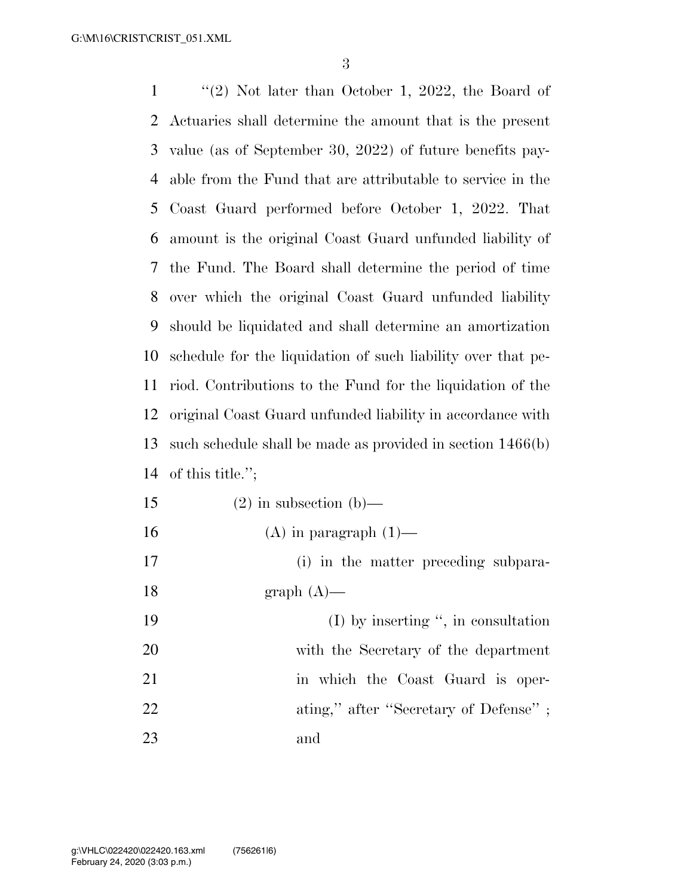''(2) Not later than October 1, 2022, the Board of Actuaries shall determine the amount that is the present value (as of September 30, 2022) of future benefits pay- able from the Fund that are attributable to service in the Coast Guard performed before October 1, 2022. That amount is the original Coast Guard unfunded liability of the Fund. The Board shall determine the period of time over which the original Coast Guard unfunded liability should be liquidated and shall determine an amortization schedule for the liquidation of such liability over that pe- riod. Contributions to the Fund for the liquidation of the original Coast Guard unfunded liability in accordance with such schedule shall be made as provided in section 1466(b) of this title.'';

15 (2) in subsection (b)— 16 (A) in paragraph  $(1)$ — (i) in the matter preceding subpara-18 graph  $(A)$ — (I) by inserting '', in consultation with the Secretary of the department 21 in which the Coast Guard is oper-22 ating," after "Secretary of Defense" ; and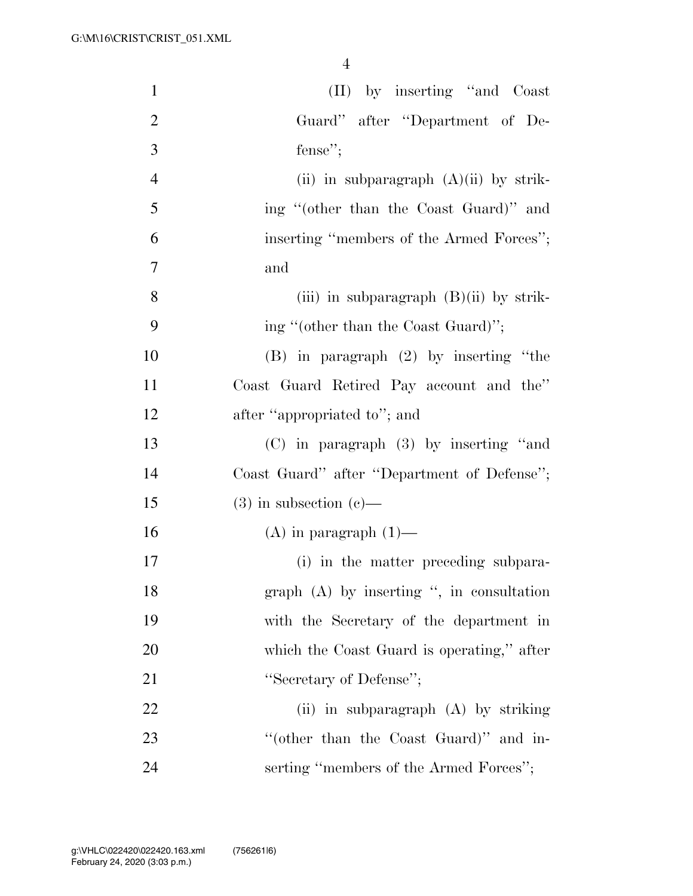4

| $\mathbf{1}$   | (II) by inserting "and Coast"               |
|----------------|---------------------------------------------|
| $\overline{2}$ | Guard" after "Department of De-             |
| 3              | fense";                                     |
| $\overline{4}$ | (ii) in subparagraph $(A)(ii)$ by strik-    |
| 5              | ing "(other than the Coast Guard)" and      |
| 6              | inserting "members of the Armed Forces";    |
| $\overline{7}$ | and                                         |
| 8              | (iii) in subparagraph $(B)(ii)$ by strik-   |
| 9              | ing "(other than the Coast Guard)";         |
| 10             | $(B)$ in paragraph $(2)$ by inserting "the  |
| 11             | Coast Guard Retired Pay account and the"    |
| 12             | after "appropriated to"; and                |
| 13             | $(C)$ in paragraph $(3)$ by inserting "and  |
| 14             | Coast Guard" after "Department of Defense"; |
| 15             | $(3)$ in subsection $(e)$ —                 |
| 16             | $(A)$ in paragraph $(1)$ —                  |
| 17             | (i) in the matter preceding subpara-        |
| 18             | graph (A) by inserting ", in consultation   |
| 19             | with the Secretary of the department in     |
| 20             | which the Coast Guard is operating," after  |
| 21             | "Secretary of Defense";                     |
| 22             | (ii) in subparagraph (A) by striking        |
| 23             | "(other than the Coast Guard)" and in-      |
| 24             | serting "members of the Armed Forces";      |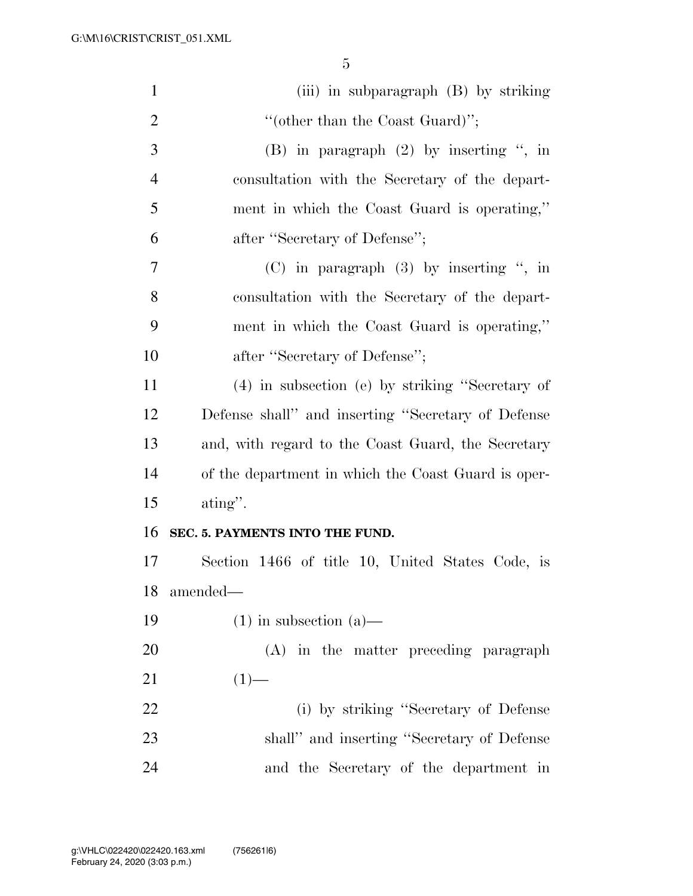| $\mathbf{1}$   | (iii) in subparagraph (B) by striking               |
|----------------|-----------------------------------------------------|
| $\overline{2}$ | "(other than the Coast Guard)";                     |
| 3              | $(B)$ in paragraph $(2)$ by inserting ", in         |
| $\overline{4}$ | consultation with the Secretary of the depart-      |
| 5              | ment in which the Coast Guard is operating,"        |
| 6              | after "Secretary of Defense";                       |
| 7              | $(C)$ in paragraph $(3)$ by inserting ", in         |
| 8              | consultation with the Secretary of the depart-      |
| 9              | ment in which the Coast Guard is operating,"        |
| 10             | after "Secretary of Defense";                       |
| 11             | (4) in subsection (e) by striking "Secretary of     |
| 12             | Defense shall" and inserting "Secretary of Defense  |
| 13             | and, with regard to the Coast Guard, the Secretary  |
| 14             | of the department in which the Coast Guard is oper- |
| 15             | $\alpha$ ating".                                    |
| 16             | SEC. 5. PAYMENTS INTO THE FUND.                     |
| 17             | Section 1466 of title 10, United States Code, is    |
| 18             | amended—                                            |
| 19             | $(1)$ in subsection $(a)$ —                         |
| 20             | (A) in the matter preceding paragraph               |
| 21             | $(1)$ —                                             |
| 22             | (i) by striking "Secretary of Defense               |
| 23             | shall" and inserting "Secretary of Defense          |
| 24             | and the Secretary of the department in              |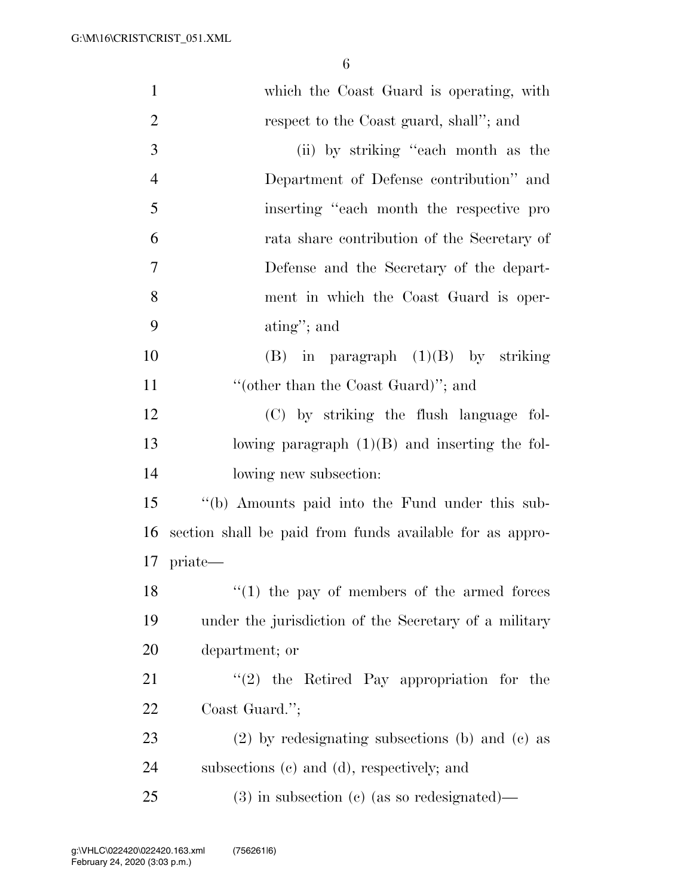| $\mathbf{1}$   | which the Coast Guard is operating, with                 |
|----------------|----------------------------------------------------------|
| $\overline{2}$ | respect to the Coast guard, shall"; and                  |
| 3              | (ii) by striking "each month as the                      |
| $\overline{4}$ | Department of Defense contribution" and                  |
| 5              | inserting "each month the respective pro                 |
| 6              | rata share contribution of the Secretary of              |
| $\overline{7}$ | Defense and the Secretary of the depart-                 |
| 8              | ment in which the Coast Guard is oper-                   |
| 9              | $\text{ating}$ "; and                                    |
| 10             | $(B)$ in paragraph $(1)(B)$ by striking                  |
| 11             | "(other than the Coast Guard)"; and                      |
| 12             | (C) by striking the flush language fol-                  |
| 13             | lowing paragraph $(1)(B)$ and inserting the fol-         |
| 14             | lowing new subsection:                                   |
| 15             | "(b) Amounts paid into the Fund under this sub-          |
| 16             | section shall be paid from funds available for as appro- |
|                | 17 priate—                                               |
| 18             | $(1)$ the pay of members of the armed forces             |
| 19             | under the jurisdiction of the Secretary of a military    |
| 20             | department; or                                           |
| 21             | $\lq(2)$ the Retired Pay appropriation for the           |
| 22             | Coast Guard.";                                           |
| 23             | $(2)$ by redesignating subsections (b) and (c) as        |
| 24             | subsections (c) and (d), respectively; and               |
| 25             | $(3)$ in subsection (c) (as so redesignated)—            |